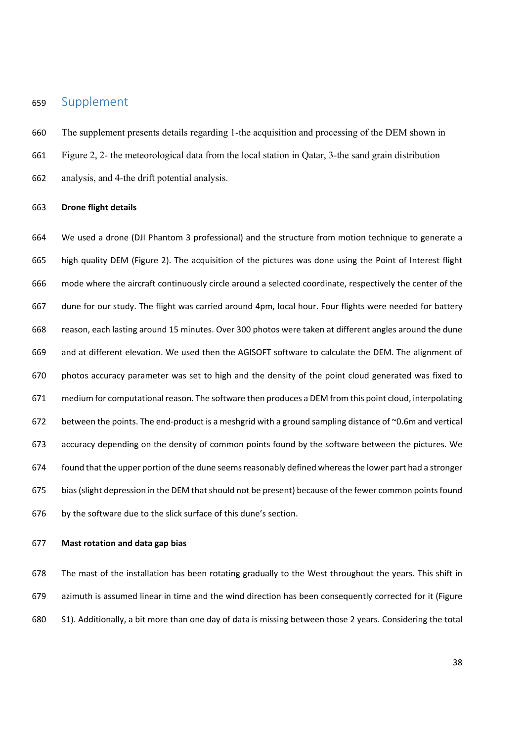## 659 Supplement

660 The supplement presents details regarding 1-the acquisition and processing of the DEM shown in 661 Figure 2, 2- the meteorological data from the local station in Qatar, 3-the sand grain distribution 662 analysis, and 4-the drift potential analysis.

#### 663 **Drone flight details**

664 We used a drone (DJI Phantom 3 professional) and the structure from motion technique to generate a 665 high quality DEM (Figure 2). The acquisition of the pictures was done using the Point of Interest flight 666 mode where the aircraft continuously circle around a selected coordinate, respectively the center of the 667 dune for our study. The flight was carried around 4pm, local hour. Four flights were needed for battery 668 reason, each lasting around 15 minutes. Over 300 photos were taken at different angles around the dune 669 and at different elevation. We used then the AGISOFT software to calculate the DEM. The alignment of 670 photos accuracy parameter was set to high and the density of the point cloud generated was fixed to 671 medium for computational reason. The software then produces a DEM from this point cloud, interpolating 672 between the points. The end-product is a meshgrid with a ground sampling distance of ~0.6m and vertical 673 accuracy depending on the density of common points found by the software between the pictures. We 674 found that the upper portion of the dune seems reasonably defined whereas the lower part had a stronger 675 bias (slight depression in the DEM that should not be present) because of the fewer common points found 676 by the software due to the slick surface of this dune's section.

### 677 **Mast rotation and data gap bias**

678 The mast of the installation has been rotating gradually to the West throughout the years. This shift in 679 azimuth is assumed linear in time and the wind direction has been consequently corrected for it (Figure 680 S1). Additionally, a bit more than one day of data is missing between those 2 years. Considering the total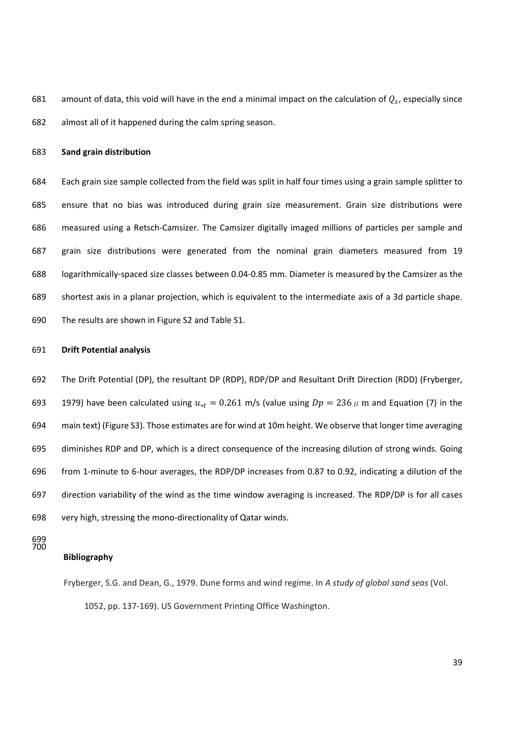681 amount of data, this void will have in the end a minimal impact on the calculation of  $Q_s$ , especially since 682 almost all of it happened during the calm spring season.

### 683 **Sand grain distribution**

684 Each grain size sample collected from the field was split in half four times using a grain sample splitter to 685 ensure that no bias was introduced during grain size measurement. Grain size distributions were 686 measured using a Retsch-Camsizer. The Camsizer digitally imaged millions of particles per sample and 687 grain size distributions were generated from the nominal grain diameters measured from 19 688 logarithmically-spaced size classes between 0.04-0.85 mm. Diameter is measured by the Camsizer as the 689 shortest axis in a planar projection, which is equivalent to the intermediate axis of a 3d particle shape. 690 The results are shown in Figure S2 and Table S1.

#### 691 **Drift Potential analysis**

692 The Drift Potential (DP), the resultant DP (RDP), RDP/DP and Resultant Drift Direction (RDD) (Fryberger, 693 1979) have been calculated using  $u_{*t} = 0.261$  m/s (value using  $Dp = 236 \mu$  m and Equation (7) in the 694 main text) (Figure S3). Those estimates are for wind at 10m height. We observe that longer time averaging 695 diminishes RDP and DP, which is a direct consequence of the increasing dilution of strong winds. Going 696 from 1-minute to 6-hour averages, the RDP/DP increases from 0.87 to 0.92, indicating a dilution of the 697 direction variability of the wind as the time window averaging is increased. The RDP/DP is for all cases 698 very high, stressing the mono-directionality of Qatar winds.

699 700

### **Bibliography**

Fryberger, S.G. and Dean, G., 1979. Dune forms and wind regime. In *A study of global sand seas* (Vol. 1052, pp. 137-169). US Government Printing Office Washington.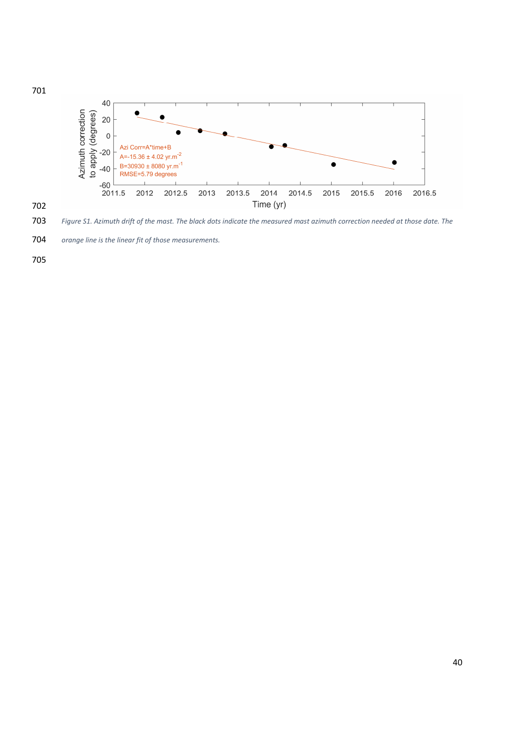

*Figure S1. Azimuth drift of the mast. The black dots indicate the measured mast azimuth correction needed at those date. The* 

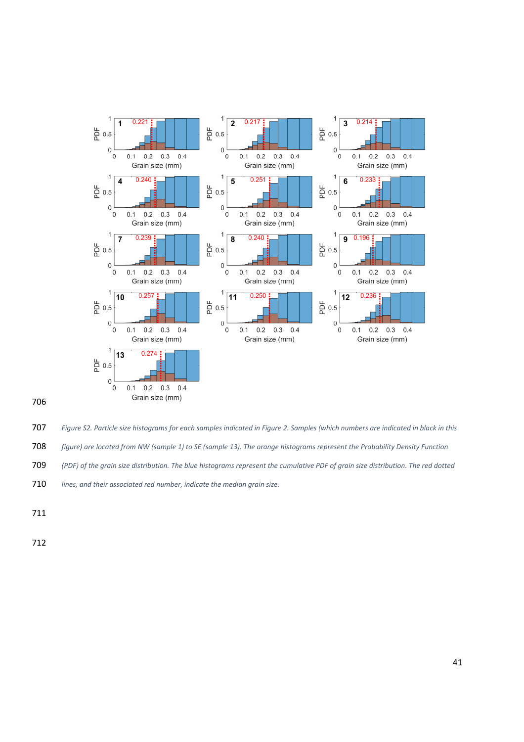

*Figure S2. Particle size histograms for each samples indicated in Figure 2. Samples (which numbers are indicated in black in this* 

*figure) are located from NW (sample 1) to SE (sample 13). The orange histograms represent the Probability Density Function* 

*(PDF) of the grain size distribution. The blue histograms represent the cumulative PDF of grain size distribution. The red dotted* 

*lines, and their associated red number, indicate the median grain size.*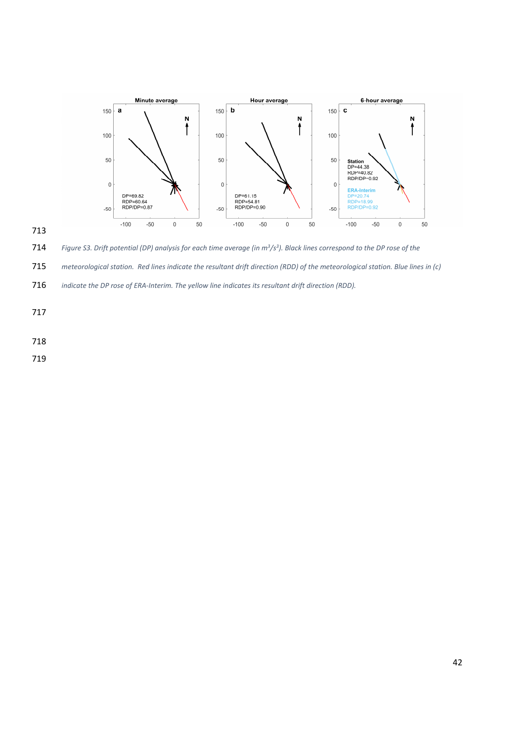



*Figure S3. Drift potential (DP) analysis for each time average (in m3/s3 ). Black lines correspond to the DP rose of the* 

*meteorological station. Red lines indicate the resultant drift direction (RDD) of the meteorological station. Blue lines in (c)* 

*indicate the DP rose of ERA-Interim. The yellow line indicates its resultant drift direction (RDD).*